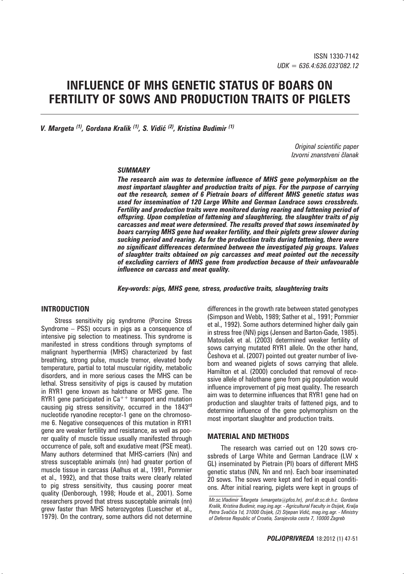# **INFLUENCE OF MHS GENETIC STATUS OF BOARS ON FERTILITY OF SOWS AND PRODUCTION TRAITS OF PIGLETS**

*V. Margeta*  $^{(1)}$ *, Gordana Kralik*  $^{(1)}$ *, S. Vidić*  $^{(2)}$ *, Kristina Budimir*  $^{(1)}$ 

*Original scientific paper Izvorni znanstveni ~lanak*

#### *SUMMARY*

*The research aim was to determine influence of MHS gene polymorphism on the most important slaughter and production traits of pigs. For the purpose of carrying out the research, semen of 6 Pietrain boars of different MHS genetic status was used for insemination of 120 Large White and German Landrace sows crossbreds. Fertility and production traits were monitored during rearing and fattening period of offspring. Upon completion of fattening and slaughtering, the slaughter traits of pig carcasses and meat were determined. The results proved that sows inseminated by boars carrying MHS gene had weaker fertility, and their piglets grew slower during sucking period and rearing. As for the production traits during fattening, there were no significant differences determined between the investigated pig groups. Values of slaughter traits obtained on pig carcasses and meat pointed out the necessity of excluding carriers of MHS gene from production because of their unfavourable influence on carcass and meat quality.* 

*Key-words: pigs, MHS gene, stress, productive traits, slaughtering traits*

## **INTRODUCTION**

Stress sensitivity pig syndrome (Porcine Stress Syndrome – PSS) occurs in pigs as a consequence of intensive pig selection to meatiness. This syndrome is manifested in stress conditions through symptoms of malignant hyperthermia (MHS) characterized by fast breathing, strong pulse, muscle tremor, elevated body temperature, partial to total muscular rigidity, metabolic disorders, and in more serious cases the MHS can be lethal. Stress sensitivity of pigs is caused by mutation in RYR1 gene known as halothane or MHS gene. The RYR1 gene participated in  $Ca^{++}$  transport and mutation causing pig stress sensitivity, occurred in the 1843rd nucleotide ryanodine receptor-1 gene on the chromosome 6. Negative consequences of this mutation in RYR1 gene are weaker fertility and resistance, as well as poorer quality of muscle tissue usually manifested through occurrence of pale, soft and exudative meat (PSE meat). Many authors determined that MHS-carriers (Nn) and stress susceptable animals (nn) had greater portion of muscle tissue in carcass (Aalhus et al., 1991, Pommier et al., 1992), and that those traits were clearly related to pig stress sensitivity, thus causing poorer meat quality (Denborough, 1998; Houde et al., 2001). Some researchers proved that stress susceptable animals (nn) grew faster than MHS heterozygotes (Luescher et al., 1979). On the contrary, some authors did not determine differences in the growth rate between stated genotypes (Simpson and Webb**,** 1989; Sather et al., 1991; Pommier et al., 1992). Some authors determined higher daily gain in stress free (NN) pigs (Jensen and Barton-Gade, 1985). Matoušek et al. (2003) determined weaker fertility of sows carrying mutated RYR1 allele. On the other hand, -eshova et al. (2007) pointed out greater number of liveborn and weaned piglets of sows carrying that allele. Hamilton et al. (2000) concluded that removal of recessive allele of halothane gene from pig population would influence improvement of pig meat quality. The research aim was to determine influences that RYR1 gene had on production and slaughter traits of fattened pigs, and to determine influence of the gene polymorphism on the most important slaughter and production traits.

#### **MATERIAL AND METHODS**

The research was carried out on 120 sows crossbreds of Large White and German Landrace (LW x GL) inseminated by Pietrain (PI) boars of different MHS genetic status (NN, Nn and nn). Each boar inseminated 20 sows. The sows were kept and fed in equal conditions. After initial rearing, piglets were kept in groups of

*Mr.sc.Vladimir Margeta (vmargeta@pfos.hr), prof.dr.sc.dr.h.c. Gordana Kralik, Kristina Budimir, mag.ing.agr. - Agricultural Faculty in Osijek, Kralja*  Petra Svačića 1d, 31000 Osijek, (2) Stjepan Vidić, mag.ing.agr. - Ministry *of Defense Republic of Croatia, Sarajevska cesta 7, 10000 Zagreb*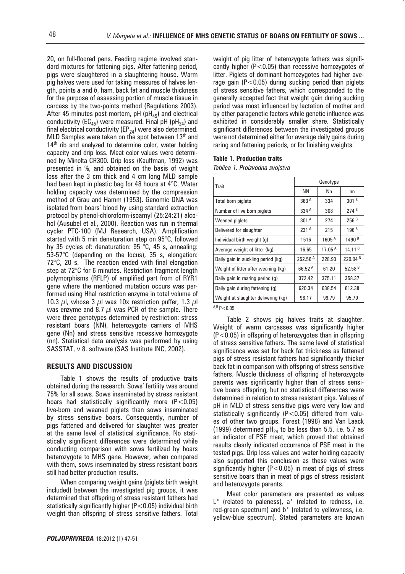20, on full-floored pens. Feeding regime involved standard mixtures for fattening pigs. After fattening period, pigs were slaughtered in a slaughtering house. Warm pig halves were used for taking measures of halves length, points *a* and *b*, ham, back fat and muscle thickness for the purpose of assessing portion of muscle tissue in carcass by the two-points method (Regulations 2003). After 45 minutes post mortem, pH ( $pH_{45}$ ) and electrical conductivity (EC<sub>45</sub>) were measured. Final pH (pH<sub>24</sub>) and final electrical conductivity ( $EP_{24}$ ) were also determined. MLD Samples were taken on the spot between 13<sup>th</sup> and  $14<sup>th</sup>$  rib and analyzed to determine color, water holding capacity and drip loss. Meat color values were determined by Minolta CR300. Drip loss (Kauffman, 1992) was presented in %, and obtained on the basis of weight loss after the 3 cm thick and 4 cm long MLD sample had been kept in plastic bag for 48 hours at 4°C. Water holding capacity was determined by the compression method of Grau and Hamm (1953). Genomic DNA was isolated from boars' blood by using standard extraction protocol by phenol-chloroform-isoamyl (25:24:21) alcohol (Ausubel et al., 2000). Reaction was run in thermal cycler PTC-100 (MJ Research, USA). Amplification started with 5 min denaturation step on 95°C, followed by 35 cycles of: denaturation: 95 °C, 45 s, annealing: 53-57°C (depending on the locus), 35 s, elongation: 72°C, 20 s. The reaction ended with final elongation step at 72°C for 6 minutes. Restriction fragment length polymorphisms (RFLP) of amplified part from of RYR1 gene where the mentioned mutation occurs was performed using HhaI restriction enzyme in total volume of 10.3  $\mu$ l, whose 3  $\mu$ l was 10x restriction puffer, 1.3  $\mu$ l was enzyme and 8.7  $\mu$  was PCR of the sample. There were three genotypes determined by restriction: stress resistant boars (NN), heterozygote carriers of MHS gene (Nn) and stress sensitive recessive homozygote (nn). Statistical data analysis was performed by using SASSTAT, v 8. software (SAS Institute INC, 2002).

### **RESULTS AND DISCUSSION**

Table 1 shows the results of productive traits obtained during the research. Sows' fertility was around 75% for all sows. Sows inseminated by stress resistant boars had statistically significantly more  $(P<0.05)$ live-born and weaned piglets than sows inseminated by stress sensitive boars. Consequently, number of pigs fattened and delivered for slaughter was greater at the same level of statistical significance. No statistically significant differences were determined while conducting comparison with sows fertilized by boars heterozygote to MHS gene. However, when compared with them, sows inseminated by stress resistant boars still had better production results.

When comparing weight gains (piglets birth weight included) between the investigated pig groups, it was determined that offspring of stress resistant fathers had statistically significantly higher (P<0.05) individual birth weight than offspring of stress sensitive fathers. Total weight of pig litter of heterozygote fathers was significantly higher  $(P<0.05)$  than recessive homozygotes of litter. Piglets of dominant homozygotes had higher average gain ( $P < 0.05$ ) during sucking period than piglets of stress sensitive fathers, which corresponded to the generally accepted fact that weight gain during sucking period was most influenced by lactation of mother and by other paragenetic factors while genetic influence was exhibited in considerably smaller share. Statistically significant differences between the investigated groups were not determined either for average daily gains during raring and fattening periods, or for finishing weights.

#### **Table 1. Production traits**

*Tablica 1. Proizvodna svojstva*

| Trait                               | Genotype            |                    |                     |
|-------------------------------------|---------------------|--------------------|---------------------|
|                                     | <b>NN</b>           | Nn                 | nn                  |
| Total born piglets                  | 363 <sup>A</sup>    | 334                | 301 <sup>B</sup>    |
| Number of live born piglets         | 334 $A$             | 308                | 274 <sup>B</sup>    |
| <b>Weaned piglets</b>               | 301 <sup>A</sup>    | 274                | 256B                |
| Delivered for slaughter             | 231 <sup>A</sup>    | 215                | 196B                |
| Individual birth weight (g)         | 1516                | 1605 <sup>A</sup>  | 1490 <sup>B</sup>   |
| Average weight of litter (kg)       | 16.65               | 17.05 <sup>A</sup> | 14.11 <sup>B</sup>  |
| Daily gain in suckling period (kg)  | 252.56 <sup>A</sup> | 228.90             | 220.04 <sup>B</sup> |
| Weight of litter after weaning (kg) | $66.52^{\text{A}}$  | 61.20              | 52.58 $B$           |
| Daily gain in rearing period (g)    | 372.42              | 375.11             | 358.37              |
| Daily gain during fattening (g)     | 620.34              | 638.54             | 612.38              |
| Weight at slaughter delivering (kg) | 98.17               | 99.79              | 95.79               |

 $A, B, P < 0.05$ 

Table 2 shows pig halves traits at slaughter. Weight of warm carcasses was significantly higher (P<0.05) in offspring of heterozygotes than in offspring of stress sensitive fathers. The same level of statistical significance was set for back fat thickness as fattened pigs of stress resistant fathers had significantly thicker back fat in comparison with offspring of stress sensitive fathers. Muscle thickness of offspring of heterozygote parents was significantly higher than of stress sensitive boars offspring, but no statistical differences were determined in relation to stress resistant pigs. Values of pH in MLD of stress sensitive pigs were very low and statistically significantly (P<0.05) differed from values of other two groups. Forest (1998) and Van Laack (1999) determined  $pH_{24}$  to be less than 5.5, i.e. 5.7 as an indicator of PSE meat, which proved that obtained results clearly indicated occurrence of PSE meat in the tested pigs. Drip loss values and water holding capacity also supported this conclusion as these values were significantly higher ( $P < 0.05$ ) in meat of pigs of stress sensitive boars than in meat of pigs of stress resistant and heterozygote parents.

Meat color parameters are presented as values  $L^*$  (related to paleness), a<sup>\*</sup> (related to redness, i.e. red-green spectrum) and b\* (related to yellowness, i.e. yellow-blue spectrum). Stated parameters are known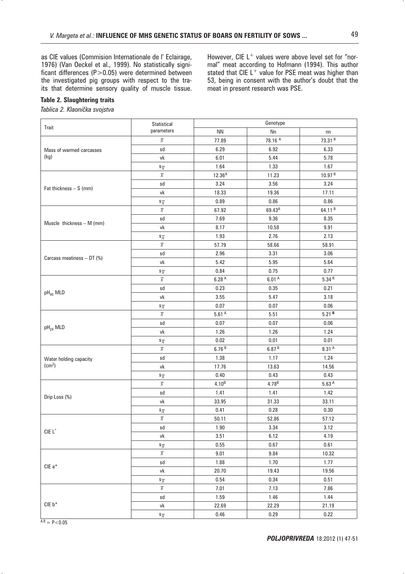as CIE values (Commision Internationale de l' Eclairage, 1976) (Van Oeckel et al., 1999). No statistically significant differences  $(P>0.05)$  were determined between the investigated pig groups with respect to the traits that determine sensory quality of muscle tissue. However, CIE  $L^+$  values were above level set for "normal" meat according to Hofmann (1994). This author stated that CIE  $L^+$  value for PSE meat was higher than 53, being in consent with the author's doubt that the meat in present research was PSE.

## **Table 2. Slaughtering traits**

 $Tablea$  2. Klaonička svojstva

| Trait                                        | Statistical<br>parameters      | Genotype          |                    |                    |
|----------------------------------------------|--------------------------------|-------------------|--------------------|--------------------|
|                                              |                                | <b>NN</b>         | Nn                 | nn                 |
| Mass of warmed carcasses<br>(kg)             | $\overline{x}$                 | 77.89             | 78.16 A            | 73.31 <sup>B</sup> |
|                                              | sd                             | 6.29              | 6.92               | 6.33               |
|                                              | vk                             | 6.01              | 5.44               | 5.78               |
|                                              | $\mathsf{s}_{\overline{x}}$    | 1.64              | 1.33               | 1.67               |
| Fat thickness $- S$ (mm)                     | $\overline{x}$                 | $12.36^{A}$       | 11.23              | 10.97 <sup>B</sup> |
|                                              | sd                             | 3.24              | 3.56               | 3.24               |
|                                              | vk                             | 18.33             | 19.36              | 17.11              |
|                                              | $\mathsf{s}_{\overline{x}}$    | 0.89              | 0.86               | $0.86\,$           |
| Muscle thickness $- M$ (mm)                  | $\overline{x}$                 | 67.92             | 69.43 <sup>A</sup> | 64.11 <sup>B</sup> |
|                                              | sd                             | 7.69              | 9.36               | 8.35               |
|                                              | vk                             | 8.17              | 10.58              | 9.91               |
|                                              | $\mathsf{s}_{\overline{x}}$    | 1.93              | 2.76               | 2.13               |
| Carcass meatiness $-DT$ (%)                  | $\overline{x}$                 | 57.79             | 58.66              | 58.91              |
|                                              | sd                             | 2.96              | 3.31               | 3.06               |
|                                              | vk                             | 5.42              | 5.95               | 5.64               |
|                                              | $\mathbf{s}_{\overline{\chi}}$ | 0.84              | 0.75               | 0.77               |
| pH <sub>45</sub> MLD                         | $\overline{x}$                 | 6.28 <sup>A</sup> | 6.01 <sup>A</sup>  | 5.34B              |
|                                              | sd                             | 0.23              | 0.35               | 0.21               |
|                                              | vk                             | 3.55              | 5.47               | 3.18               |
|                                              | $\mathbf{s}_{\overline{\chi}}$ | 0.07              | 0.07               | 0.06               |
| pH <sub>24</sub> MLD                         | $\overline{x}$                 | 5.61 <sup>A</sup> | 5.51               | 5.21B              |
|                                              | sd                             | 0.07              | 0.07               | 0.06               |
|                                              | vk                             | 1.26              | 1.26               | 1.24               |
|                                              | $\mathsf{s}_{\overline{x}}$    | 0.02              | 0.01               | 0.01               |
| Water holding capacity<br>(cm <sup>2</sup> ) | $\overline{x}$                 | 6.76B             | 6.87B              | 8.31 A             |
|                                              | sd                             | 1.38              | 1.17               | 1.24               |
|                                              | vk                             | 17.76             | 13.63              | 14.56              |
|                                              | $\mathsf{s}_{\overline{x}}$    | 0.40              | 0.43               | 0.43               |
| Drip Loss (%)                                | $\overline{x}$                 | 4.10 <sup>B</sup> | 4.78 <sup>B</sup>  | $5.63A$            |
|                                              | sd                             | 1.41              | 1.41               | 1.42               |
|                                              | vk                             | 33.95             | 31.33              | 33.11              |
|                                              | $\mathbf{s}_{\overline{\chi}}$ | 0.41              | 0.28               | 0.30               |
| $CIE$ $L^*$                                  | $\overline{x}$                 | 50.11             | 52.86              | 57.12              |
|                                              | sd                             | 1.90              | 3.34               | 3.12               |
|                                              | vk                             | 3.51              | 6.12               | 4.19               |
|                                              | $\mathsf{s}_{\overline{x}}$    | $0.55\,$          | 0.67               | 0.61               |
| CIE a*                                       | $\overline{x}$                 | 9.01              | 9.84               | 10.32              |
|                                              | sd                             | 1.88              | 1.70               | 1.77               |
|                                              | ${\mathsf v}{\mathsf k}$       | 20.70             | 19.43              | 19.56              |
|                                              | $\mathbf{s}_{\overline{\chi}}$ | 0.54              | 0.34               | 0.51               |
| $CIE b*$                                     | $\overline{x}$                 | 7.01              | 7.13               | 7.86               |
|                                              | sd                             | 1.59              | 1.46               | 1.44               |
|                                              | vk                             | 22.69             | 22.29              | 21.19              |
|                                              | $\mathbf{s}_{\overline{\chi}}$ | 0.46              | 0.29               | 0.22               |

 $A, B = P < 0.05$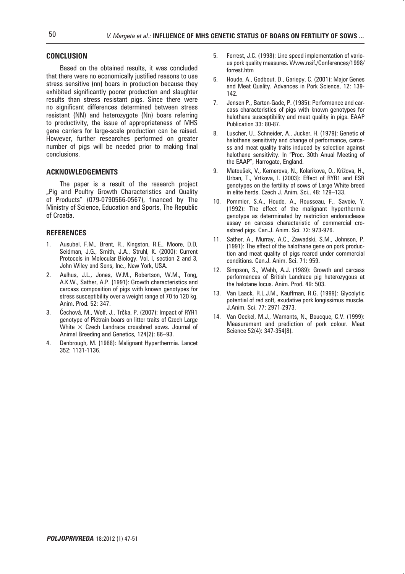## **CONCLUSION**

Based on the obtained results, it was concluded that there were no economically justified reasons to use stress sensitive (nn) boars in production because they exhibited significantly poorer production and slaughter results than stress resistant pigs. Since there were no significant differences determined between stress resistant (NN) and heterozygote (Nn) boars referring to productivity, the issue of appropriateness of MHS gene carriers for large-scale production can be raised. However, further researches performed on greater number of pigs will be needed prior to making final conclusions.

#### **ACKNOWLEDGEMENTS**

The paper is a result of the research project "Pig and Poultry Growth Characteristics and Quality of Products" (079-0790566-0567), financed by The Ministry of Science, Education and Sports, The Republic of Croatia.

#### **REFERENCES**

- Ausubel, F.M., Brent, R., Kingston, R.E., Moore, D.D, Seidman, J.G., Smith, J.A., Struhl, K. (2000): Current Protocols in Molecular Biology. Vol. I, section 2 and 3, John Wiley and Sons, Inc., New York, USA.
- 2. Aalhus, J.L., Jones, W.M., Robertson, W.M., Tong, A.K.W., Sather, A.P. (1991): Growth characteristics and carcass composition of pigs with known genotypes for stress susceptibility over a weight range of 70 to 120 kg. Anim. Prod. 52: 347.
- 3. Cechová, M., Wolf, J., Trčka, P. (2007): Impact of RYR1 genotype of Piétrain boars on litter traits of Czech Large White  $\times$  Czech Landrace crossbred sows. Journal of Animal Breeding and Genetics, 124(2): 86–93.
- 4. Denbrough, M. (1988): Malignant Hyperthermia. Lancet 352: 1131-1136.
- 5. Forrest, J.C. (1998): Line speed implementation of various pork quality measures. Www.nsif./Conferences/1998/ forrest.htm
- 6. Houde, A., Godbout, D., Gariepy, C. (2001): Major Genes and Meat Quality. Advances in Pork Science, 12: 139- 142.
- 7. Jensen P., Barton-Gade, P. (1985): Performance and carcass characteristics of pigs with known genotypes for halothane susceptibility and meat quality in pigs. EAAP Publication 33: 80-87.
- 8. Luscher, U., Schneider, A., Jucker, H. (1979): Genetic of halothane sensitivity and change of performance, carcass and meat quality traits induced by selection against halothane sensitivity. In "Proc. 30th Anual Meeting of the EAAP", Harrogate, England.
- 9. Matoušek, V., Kernerova, N., Kolarikova, O., Križova, H., Urban, T., Vrtkova, I. (2003): Effect of RYR1 and ESR genotypes on the fertility of sows of Large White breed in elite herds. Czech J. Anim. Sci., 48: 129–133.
- 10. Pommier, S.A., Houde, A., Rousseau, F., Savoie, Y. (1992): The effect of the malignant hyperthermia genotype as determinated by restriction endonuclease assay on carcass characteristic of commercial crossbred pigs. Can.J. Anim. Sci. 72: 973-976.
- 11. Sather, A., Murray, A.C., Zawadski, S.M., Johnson, P. (1991): The effect of the halothane gene on pork production and meat quality of pigs reared under commercial conditions. Can.J. Anim. Sci. 71: 959.
- Simpson, S., Webb, A.J. (1989): Growth and carcass performances of British Landrace pig heterozygous at the halotane locus. Anim. Prod. 49: 503.
- 13. Van Laack, R.L.J.M., Kauffman, R.G. (1999): Glycolytic potential of red soft, exudative pork longissimus muscle. J.Anim. Sci. 77: 2971-2973.
- 14. Van Oeckel, M.J., Warnants, N., Boucque, C.V. (1999): Measurement and prediction of pork colour. Meat Science 52(4): 347-354(8).